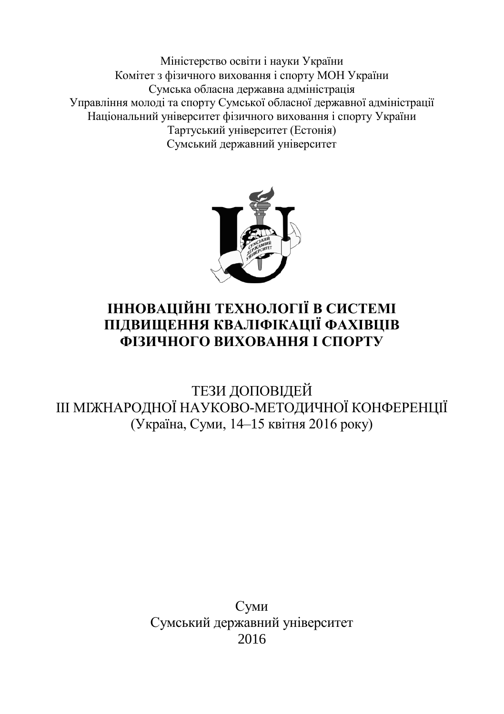Міністерство освіти і науки України Комітет з фізичного виховання і спорту МОН України Сумська обласна державна адміністрація Управління молоді та спорту Сумської обласної державної адміністрації Національний університет фізичного виховання і спорту України Тартуський університет (Естонія) Сумський державний університет



## **ІННОВАЦІЙНІ ТЕХНОЛОГІЇ В СИСТЕМІ ПІДВИЩЕННЯ КВАЛІФІКАЦІЇ ФАХІВЦІВ ФІЗИЧНОГО ВИХОВАННЯ І СПОРТУ**

ТЕЗИ ДОПОВІДЕЙ III МІЖНАРОДНОЇ НАУКОВО-МЕТОДИЧНОЇ КОНФЕРЕНЦІЇ (Україна, Суми, 14–15 квітня 2016 року)

> Суми Сумський державний університет 2016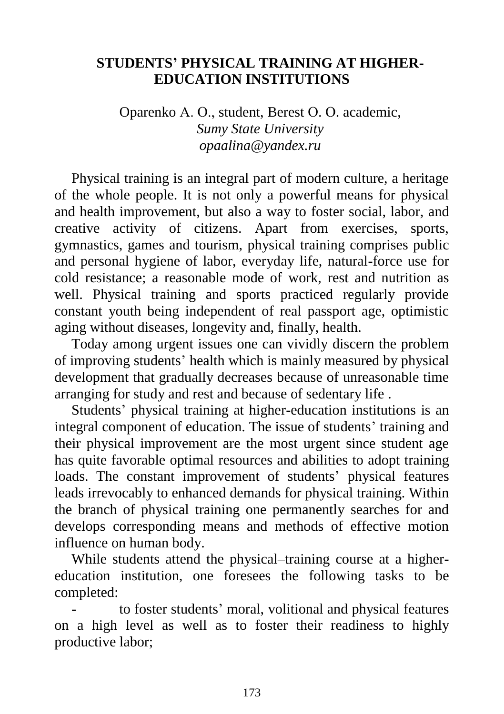## **STUDENTS' PHYSICAL TRAINING AT HIGHER-EDUCATION INSTITUTIONS**

Oparenko А. О., student, Berest О. О. academic, *Sumy State University opaalina@yandex.ru*

Physical training is an integral part of modern culture, a heritage of the whole people. It is not only a powerful means for physical and health improvement, but also a way to foster social, labor, and creative activity of citizens. Apart from exercises, sports, gymnastics, games and tourism, physical training comprises public and personal hygiene of labor, everyday life, natural-force use for cold resistance; a reasonable mode of work, rest and nutrition as well. Physical training and sports practiced regularly provide constant youth being independent of real passport age, optimistic aging without diseases, longevity and, finally, health.

Today among urgent issues one can vividly discern the problem of improving students' health which is mainly measured by physical development that gradually decreases because of unreasonable time arranging for study and rest and because of sedentary life .

Students' physical training at higher-education institutions is an integral component of education. The issue of students' training and their physical improvement are the most urgent since student age has quite favorable optimal resources and abilities to adopt training loads. The constant improvement of students' physical features leads irrevocably to enhanced demands for physical training. Within the branch of physical training one permanently searches for and develops corresponding means and methods of effective motion influence on human body.

While students attend the physical–training course at a highereducation institution, one foresees the following tasks to be completed:

to foster students' moral, volitional and physical features on a high level as well as to foster their readiness to highly productive labor;